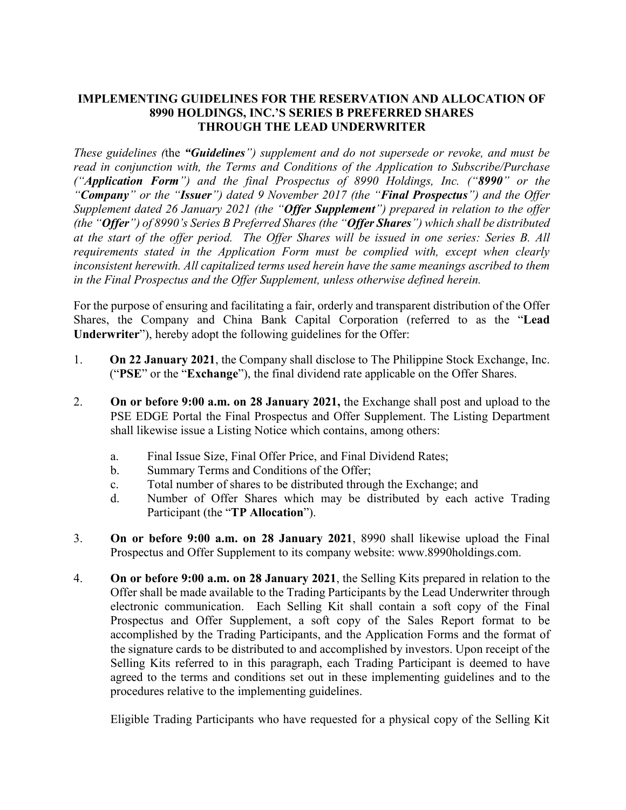### **IMPLEMENTING GUIDELINES FOR THE RESERVATION AND ALLOCATION OF 8990 HOLDINGS, INC.'S SERIES B PREFERRED SHARES THROUGH THE LEAD UNDERWRITER**

*These guidelines (*the *"Guidelines") supplement and do not supersede or revoke, and must be read in conjunction with, the Terms and Conditions of the Application to Subscribe/Purchase ("Application Form") and the final Prospectus of 8990 Holdings, Inc. ("8990" or the "Company" or the "Issuer") dated 9 November 2017 (the "Final Prospectus") and the Offer Supplement dated 26 January 2021 (the "Offer Supplement") prepared in relation to the offer (the "Offer") of 8990's Series B Preferred Shares (the "Offer Shares") which shall be distributed at the start of the offer period. The Offer Shares will be issued in one series: Series B. All requirements stated in the Application Form must be complied with, except when clearly inconsistent herewith. All capitalized terms used herein have the same meanings ascribed to them in the Final Prospectus and the Offer Supplement, unless otherwise defined herein.*

For the purpose of ensuring and facilitating a fair, orderly and transparent distribution of the Offer Shares, the Company and China Bank Capital Corporation (referred to as the "**Lead Underwriter**"), hereby adopt the following guidelines for the Offer:

- 1. **On 22 January 2021**, the Company shall disclose to The Philippine Stock Exchange, Inc. ("**PSE**" or the "**Exchange**"), the final dividend rate applicable on the Offer Shares.
- 2. **On or before 9:00 a.m. on 28 January 2021,** the Exchange shall post and upload to the PSE EDGE Portal the Final Prospectus and Offer Supplement. The Listing Department shall likewise issue a Listing Notice which contains, among others:
	- a. Final Issue Size, Final Offer Price, and Final Dividend Rates;
	- b. Summary Terms and Conditions of the Offer;
	- c. Total number of shares to be distributed through the Exchange; and
	- d. Number of Offer Shares which may be distributed by each active Trading Participant (the "**TP Allocation**").
- 3. **On or before 9:00 a.m. on 28 January 2021**, 8990 shall likewise upload the Final Prospectus and Offer Supplement to its company website: www.8990holdings.com.
- 4. **On or before 9:00 a.m. on 28 January 2021**, the Selling Kits prepared in relation to the Offer shall be made available to the Trading Participants by the Lead Underwriter through electronic communication. Each Selling Kit shall contain a soft copy of the Final Prospectus and Offer Supplement, a soft copy of the Sales Report format to be accomplished by the Trading Participants, and the Application Forms and the format of the signature cards to be distributed to and accomplished by investors. Upon receipt of the Selling Kits referred to in this paragraph, each Trading Participant is deemed to have agreed to the terms and conditions set out in these implementing guidelines and to the procedures relative to the implementing guidelines.

Eligible Trading Participants who have requested for a physical copy of the Selling Kit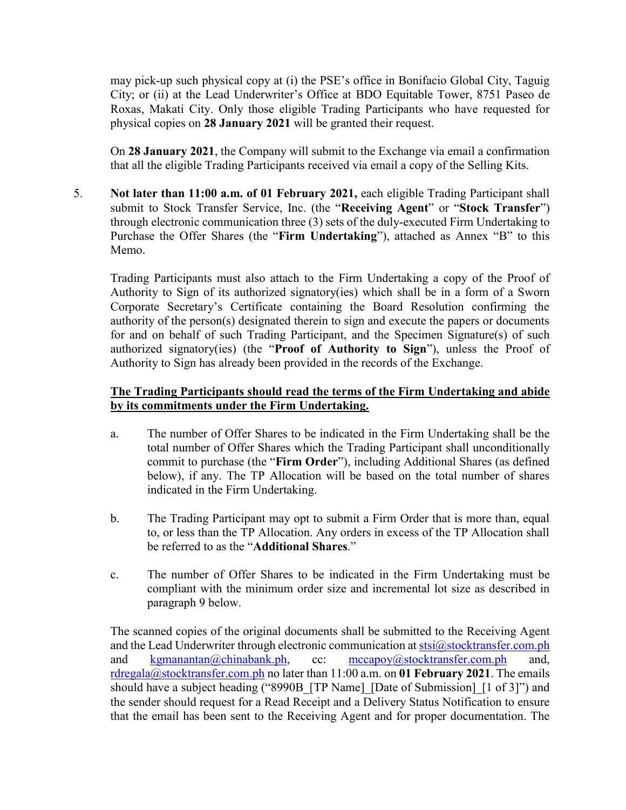may pick-up such physical copy at (i) the PSE's office in Bonifacio Global City, Taguig City; or (ii) at the Lead Underwriter's Office at BDO Equitable Tower, 8751 Paseo de Roxas, Makati City. Only those eligible Trading Participants who have requested for physical copies on **28 January 2021** will be granted their request.

On **28 January 2021**, the Company will submit to the Exchange via email a confirmation that all the eligible Trading Participants received via email a copy of the Selling Kits.

5. **Not later than 11:00 a.m. of 01 February 2021,** each eligible Trading Participant shall submit to Stock Transfer Service, Inc. (the "**Receiving Agent**" or "**Stock Transfer**") through electronic communication three (3) sets of the duly-executed Firm Undertaking to Purchase the Offer Shares (the "**Firm Undertaking**"), attached as Annex "B" to this Memo.

Trading Participants must also attach to the Firm Undertaking a copy of the Proof of Authority to Sign of its authorized signatory(ies) which shall be in a form of a Sworn Corporate Secretary's Certificate containing the Board Resolution confirming the authority of the person(s) designated therein to sign and execute the papers or documents for and on behalf of such Trading Participant, and the Specimen Signature(s) of such authorized signatory(ies) (the "**Proof of Authority to Sign**"), unless the Proof of Authority to Sign has already been provided in the records of the Exchange.

# **The Trading Participants should read the terms of the Firm Undertaking and abide by its commitments under the Firm Undertaking.**

- a. The number of Offer Shares to be indicated in the Firm Undertaking shall be the total number of Offer Shares which the Trading Participant shall unconditionally commit to purchase (the "**Firm Order**"), including Additional Shares (as defined below), if any. The TP Allocation will be based on the total number of shares indicated in the Firm Undertaking.
- b. The Trading Participant may opt to submit a Firm Order that is more than, equal to, or less than the TP Allocation. Any orders in excess of the TP Allocation shall be referred to as the "**Additional Shares**."
- c. The number of Offer Shares to be indicated in the Firm Undertaking must be compliant with the minimum order size and incremental lot size as described in paragraph 9 below.

The scanned copies of the original documents shall be submitted to the Receiving Agent and the Lead Underwriter through electronic communication at  $stsi@stock transfer.com.php$ and [kgmanantan@chinabank.ph,](mailto:kgmanantan@chinabank.ph) cc: [mccapoy@stocktransfer.com.ph](mailto:mccapoy@stocktransfer.com.ph) and, [rdregala@stocktransfer.com.ph](mailto:rdregala@stocktransfer.com.ph) no later than 11:00 a.m. on **01 February 2021**. The emails should have a subject heading ("8990B [TP Name] [Date of Submission] [1 of 3]") and the sender should request for a Read Receipt and a Delivery Status Notification to ensure that the email has been sent to the Receiving Agent and for proper documentation. The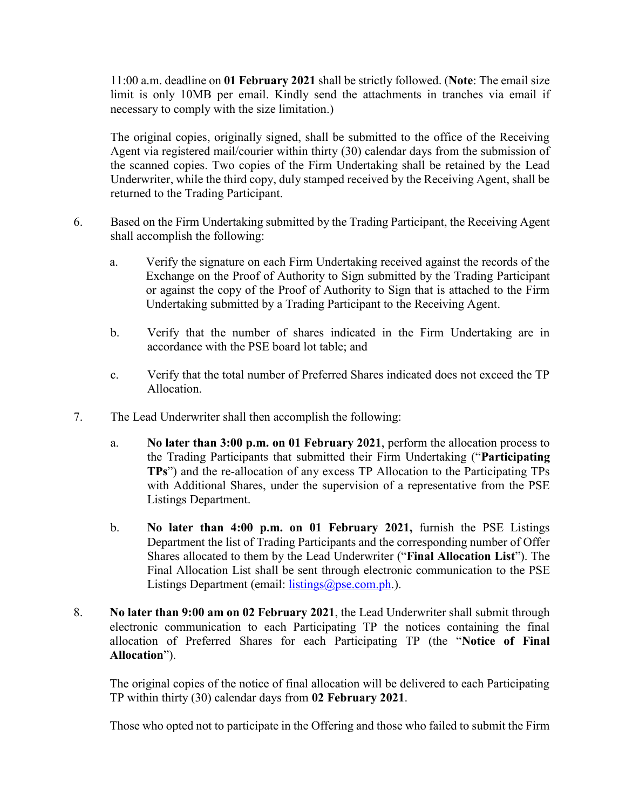11:00 a.m. deadline on **01 February 2021** shall be strictly followed. (**Note**: The email size limit is only 10MB per email. Kindly send the attachments in tranches via email if necessary to comply with the size limitation.)

The original copies, originally signed, shall be submitted to the office of the Receiving Agent via registered mail/courier within thirty (30) calendar days from the submission of the scanned copies. Two copies of the Firm Undertaking shall be retained by the Lead Underwriter, while the third copy, duly stamped received by the Receiving Agent, shall be returned to the Trading Participant.

- 6. Based on the Firm Undertaking submitted by the Trading Participant, the Receiving Agent shall accomplish the following:
	- a. Verify the signature on each Firm Undertaking received against the records of the Exchange on the Proof of Authority to Sign submitted by the Trading Participant or against the copy of the Proof of Authority to Sign that is attached to the Firm Undertaking submitted by a Trading Participant to the Receiving Agent.
	- b. Verify that the number of shares indicated in the Firm Undertaking are in accordance with the PSE board lot table; and
	- c. Verify that the total number of Preferred Shares indicated does not exceed the TP Allocation.
- 7. The Lead Underwriter shall then accomplish the following:
	- a. **No later than 3:00 p.m. on 01 February 2021**, perform the allocation process to the Trading Participants that submitted their Firm Undertaking ("**Participating TPs**") and the re-allocation of any excess TP Allocation to the Participating TPs with Additional Shares, under the supervision of a representative from the PSE Listings Department.
	- b. **No later than 4:00 p.m. on 01 February 2021,** furnish the PSE Listings Department the list of Trading Participants and the corresponding number of Offer Shares allocated to them by the Lead Underwriter ("**Final Allocation List**"). The Final Allocation List shall be sent through electronic communication to the PSE Listings Department (email: [listings@pse.com.ph.](mailto:listings@pse.com.ph)).
- 8. **No later than 9:00 am on 02 February 2021**, the Lead Underwriter shall submit through electronic communication to each Participating TP the notices containing the final allocation of Preferred Shares for each Participating TP (the "**Notice of Final Allocation**").

The original copies of the notice of final allocation will be delivered to each Participating TP within thirty (30) calendar days from **02 February 2021**.

Those who opted not to participate in the Offering and those who failed to submit the Firm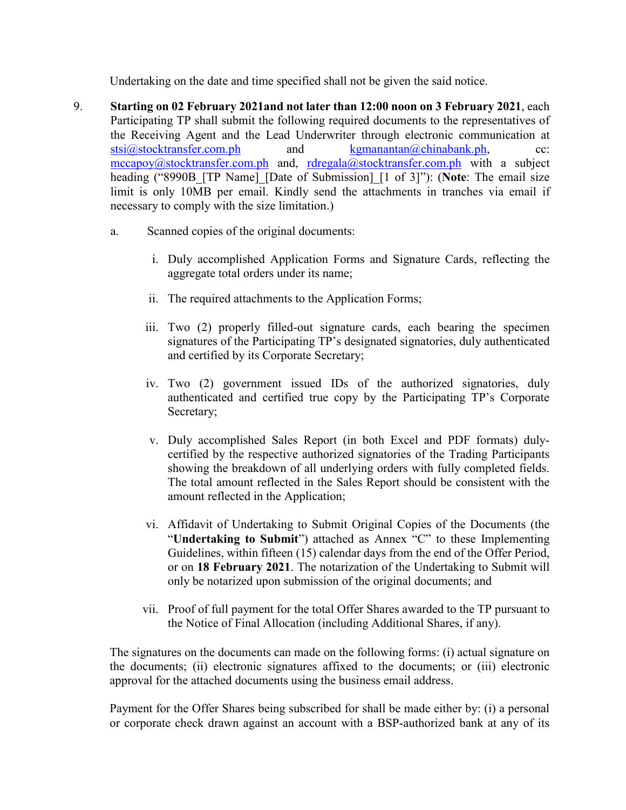Undertaking on the date and time specified shall not be given the said notice.

- 9. **Starting on 02 February 2021and not later than 12:00 noon on 3 February 2021**, each Participating TP shall submit the following required documents to the representatives of the Receiving Agent and the Lead Underwriter through electronic communication at  $stsi@stock transfer.com.php$  and [kgmanantan@chinabank.ph,](mailto:kgmanantan@chinabank.ph) cc: [mccapoy@stocktransfer.com.ph](mailto:mccapoy@stocktransfer.com.ph) and, [rdregala@stocktransfer.com.ph](mailto:rdregala@stocktransfer.com.ph) with a subject heading ("8990B\_[TP Name]\_[Date of Submission]\_[1 of 3]"): (**Note**: The email size limit is only 10MB per email. Kindly send the attachments in tranches via email if necessary to comply with the size limitation.)
	- a. Scanned copies of the original documents:
		- i. Duly accomplished Application Forms and Signature Cards, reflecting the aggregate total orders under its name;
		- ii. The required attachments to the Application Forms;
		- iii. Two (2) properly filled-out signature cards, each bearing the specimen signatures of the Participating TP's designated signatories, duly authenticated and certified by its Corporate Secretary;
		- iv. Two (2) government issued IDs of the authorized signatories, duly authenticated and certified true copy by the Participating TP's Corporate Secretary;
		- v. Duly accomplished Sales Report (in both Excel and PDF formats) dulycertified by the respective authorized signatories of the Trading Participants showing the breakdown of all underlying orders with fully completed fields. The total amount reflected in the Sales Report should be consistent with the amount reflected in the Application;
		- vi. Affidavit of Undertaking to Submit Original Copies of the Documents (the "**Undertaking to Submit**") attached as Annex "C" to these Implementing Guidelines, within fifteen (15) calendar days from the end of the Offer Period, or on **18 February 2021**. The notarization of the Undertaking to Submit will only be notarized upon submission of the original documents; and
		- vii. Proof of full payment for the total Offer Shares awarded to the TP pursuant to the Notice of Final Allocation (including Additional Shares, if any).

The signatures on the documents can made on the following forms: (i) actual signature on the documents; (ii) electronic signatures affixed to the documents; or (iii) electronic approval for the attached documents using the business email address.

Payment for the Offer Shares being subscribed for shall be made either by: (i) a personal or corporate check drawn against an account with a BSP-authorized bank at any of its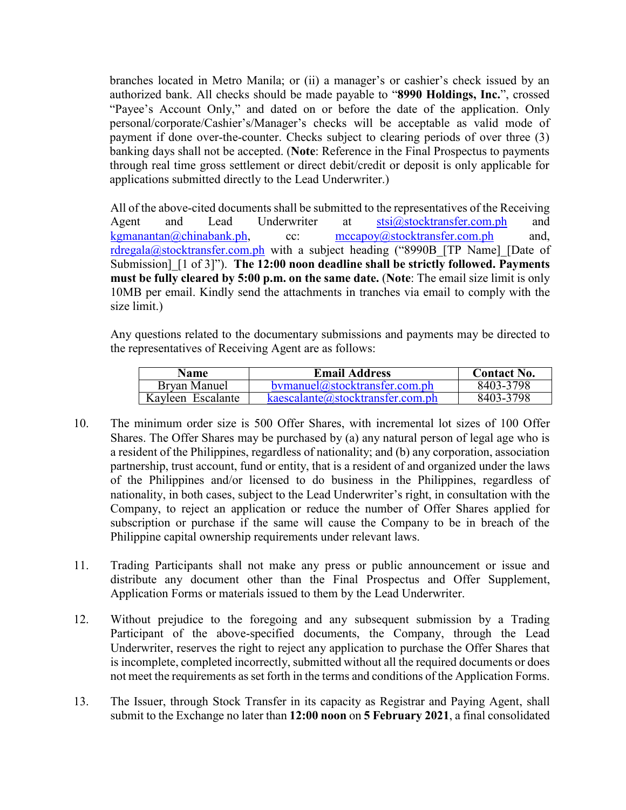branches located in Metro Manila; or (ii) a manager's or cashier's check issued by an authorized bank. All checks should be made payable to "**8990 Holdings, Inc.**", crossed "Payee's Account Only," and dated on or before the date of the application. Only personal/corporate/Cashier's/Manager's checks will be acceptable as valid mode of payment if done over-the-counter. Checks subject to clearing periods of over three (3) banking days shall not be accepted. (**Note**: Reference in the Final Prospectus to payments through real time gross settlement or direct debit/credit or deposit is only applicable for applications submitted directly to the Lead Underwriter.)

All of the above-cited documents shall be submitted to the representatives of the Receiving Agent and Lead Underwriter at [stsi@stocktransfer.com.ph](mailto:stsi@stocktransfer.com.ph) and [kgmanantan@chinabank.ph,](mailto:kgmanantan@chinabank.ph) cc: [mccapoy@stocktransfer.com.ph](mailto:mccapoy@stocktransfer.com.ph) and, [rdregala@stocktransfer.com.ph](mailto:rdregala@stocktransfer.com.ph) with a subject heading ("8990B [TP Name] [Date of Submission]\_[1 of 3]"). **The 12:00 noon deadline shall be strictly followed. Payments must be fully cleared by 5:00 p.m. on the same date.** (**Note**: The email size limit is only 10MB per email. Kindly send the attachments in tranches via email to comply with the size limit.)

Any questions related to the documentary submissions and payments may be directed to the representatives of Receiving Agent are as follows:

| <b>Name</b>       | <b>Email Address</b>                | <b>Contact No.</b> |
|-------------------|-------------------------------------|--------------------|
| Bryan Manuel      | bymanuel@stocktransfer.com.ph       | 8403-3798          |
| Kayleen Escalante | kae scalarte@stock transfer.com.php | 8403-3798          |

- 10. The minimum order size is 500 Offer Shares, with incremental lot sizes of 100 Offer Shares. The Offer Shares may be purchased by (a) any natural person of legal age who is a resident of the Philippines, regardless of nationality; and (b) any corporation, association partnership, trust account, fund or entity, that is a resident of and organized under the laws of the Philippines and/or licensed to do business in the Philippines, regardless of nationality, in both cases, subject to the Lead Underwriter's right, in consultation with the Company, to reject an application or reduce the number of Offer Shares applied for subscription or purchase if the same will cause the Company to be in breach of the Philippine capital ownership requirements under relevant laws.
- 11. Trading Participants shall not make any press or public announcement or issue and distribute any document other than the Final Prospectus and Offer Supplement, Application Forms or materials issued to them by the Lead Underwriter.
- 12. Without prejudice to the foregoing and any subsequent submission by a Trading Participant of the above-specified documents, the Company, through the Lead Underwriter, reserves the right to reject any application to purchase the Offer Shares that is incomplete, completed incorrectly, submitted without all the required documents or does not meet the requirements as set forth in the terms and conditions of the Application Forms.
- 13. The Issuer, through Stock Transfer in its capacity as Registrar and Paying Agent, shall submit to the Exchange no later than **12:00 noon** on **5 February 2021**, a final consolidated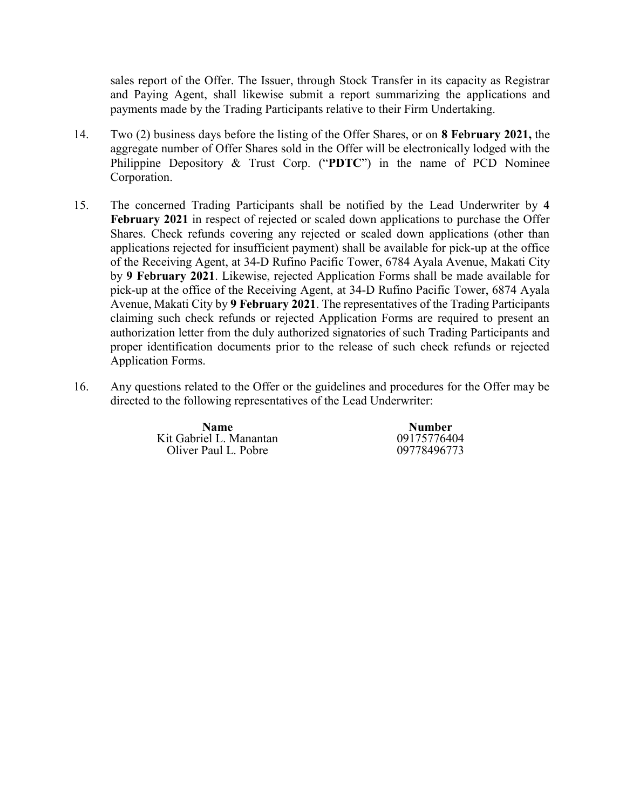sales report of the Offer. The Issuer, through Stock Transfer in its capacity as Registrar and Paying Agent, shall likewise submit a report summarizing the applications and payments made by the Trading Participants relative to their Firm Undertaking.

- 14. Two (2) business days before the listing of the Offer Shares, or on **8 February 2021,** the aggregate number of Offer Shares sold in the Offer will be electronically lodged with the Philippine Depository & Trust Corp. ("**PDTC**") in the name of PCD Nominee Corporation.
- 15. The concerned Trading Participants shall be notified by the Lead Underwriter by **4 February 2021** in respect of rejected or scaled down applications to purchase the Offer Shares. Check refunds covering any rejected or scaled down applications (other than applications rejected for insufficient payment) shall be available for pick-up at the office of the Receiving Agent, at 34-D Rufino Pacific Tower, 6784 Ayala Avenue, Makati City by **9 February 2021**. Likewise, rejected Application Forms shall be made available for pick-up at the office of the Receiving Agent, at 34-D Rufino Pacific Tower, 6874 Ayala Avenue, Makati City by **9 February 2021**. The representatives of the Trading Participants claiming such check refunds or rejected Application Forms are required to present an authorization letter from the duly authorized signatories of such Trading Participants and proper identification documents prior to the release of such check refunds or rejected Application Forms.
- 16. Any questions related to the Offer or the guidelines and procedures for the Offer may be directed to the following representatives of the Lead Underwriter:

**Name**<br> **Number**<br> **Number**<br> **Number**<br> **Number**<br> **Number**<br> **Number** Kit Gabriel L. Manantan 09175776404<br>Oliver Paul L. Pobre 09778496773 Oliver Paul L. Pobre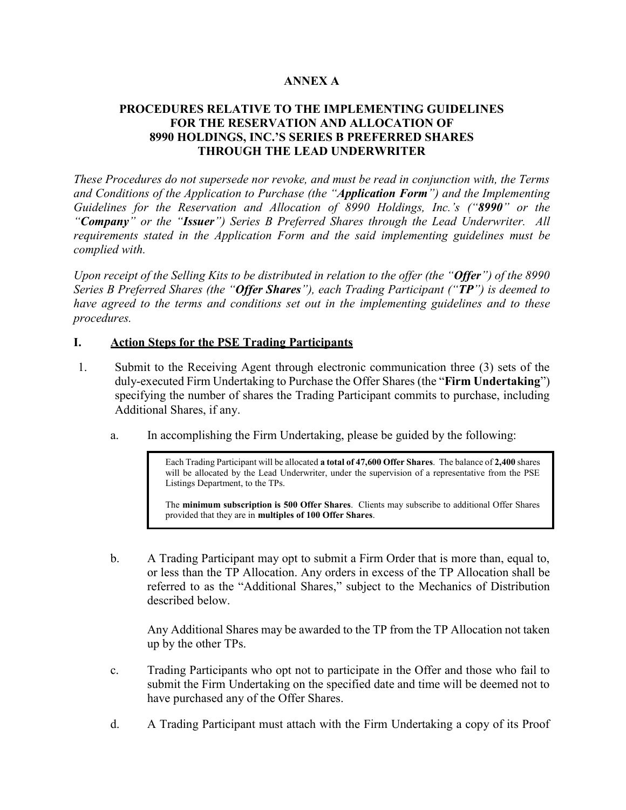### **ANNEX A**

### **PROCEDURES RELATIVE TO THE IMPLEMENTING GUIDELINES FOR THE RESERVATION AND ALLOCATION OF 8990 HOLDINGS, INC.'S SERIES B PREFERRED SHARES THROUGH THE LEAD UNDERWRITER**

*These Procedures do not supersede nor revoke, and must be read in conjunction with, the Terms and Conditions of the Application to Purchase (the "Application Form") and the Implementing Guidelines for the Reservation and Allocation of 8990 Holdings, Inc.'s ("8990" or the "Company" or the "Issuer") Series B Preferred Shares through the Lead Underwriter. All requirements stated in the Application Form and the said implementing guidelines must be complied with.*

*Upon receipt of the Selling Kits to be distributed in relation to the offer (the "Offer") of the 8990 Series B Preferred Shares (the "Offer Shares"), each Trading Participant ("TP") is deemed to have agreed to the terms and conditions set out in the implementing guidelines and to these procedures.*

#### **I. Action Steps for the PSE Trading Participants**

- 1. Submit to the Receiving Agent through electronic communication three (3) sets of the duly-executed Firm Undertaking to Purchase the Offer Shares (the "**Firm Undertaking**") specifying the number of shares the Trading Participant commits to purchase, including Additional Shares, if any.
	- a. In accomplishing the Firm Undertaking, please be guided by the following:

Each Trading Participant will be allocated **a total of 47,600 Offer Shares**. The balance of **2,400** shares will be allocated by the Lead Underwriter, under the supervision of a representative from the PSE Listings Department, to the TPs.

The **minimum subscription is 500 Offer Shares**. Clients may subscribe to additional Offer Shares provided that they are in **multiples of 100 Offer Shares**.

b. A Trading Participant may opt to submit a Firm Order that is more than, equal to, or less than the TP Allocation. Any orders in excess of the TP Allocation shall be referred to as the "Additional Shares," subject to the Mechanics of Distribution described below.

Any Additional Shares may be awarded to the TP from the TP Allocation not taken up by the other TPs.

- c. Trading Participants who opt not to participate in the Offer and those who fail to submit the Firm Undertaking on the specified date and time will be deemed not to have purchased any of the Offer Shares.
- d. A Trading Participant must attach with the Firm Undertaking a copy of its Proof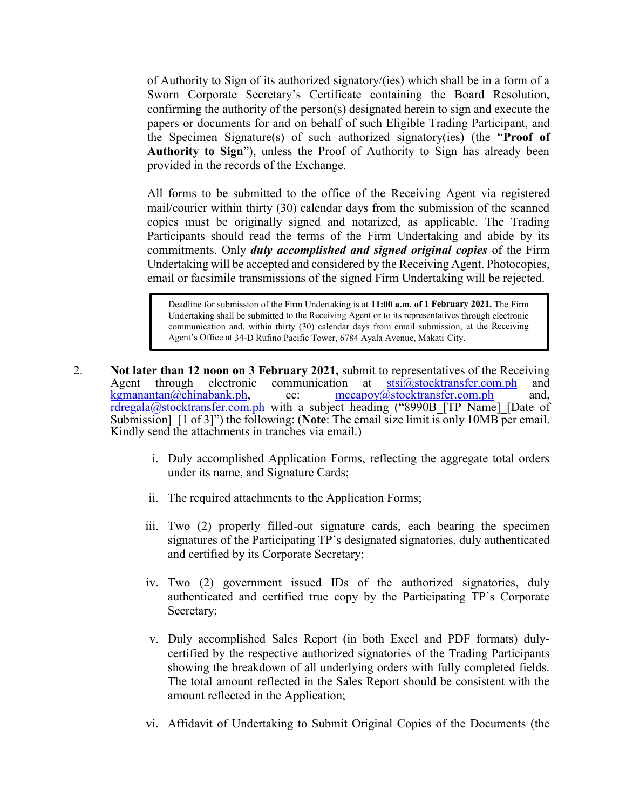of Authority to Sign of its authorized signatory/(ies) which shall be in a form of a Sworn Corporate Secretary's Certificate containing the Board Resolution, confirming the authority of the person(s) designated herein to sign and execute the papers or documents for and on behalf of such Eligible Trading Participant, and the Specimen Signature(s) of such authorized signatory(ies) (the "**Proof of Authority to Sign**"), unless the Proof of Authority to Sign has already been provided in the records of the Exchange.

All forms to be submitted to the office of the Receiving Agent via registered mail/courier within thirty (30) calendar days from the submission of the scanned copies must be originally signed and notarized, as applicable. The Trading Participants should read the terms of the Firm Undertaking and abide by its commitments. Only *duly accomplished and signed original copies* of the Firm Undertaking will be accepted and considered by the Receiving Agent. Photocopies, email or facsimile transmissions of the signed Firm Undertaking will be rejected.

Deadline for submission of the Firm Undertaking is at **11:00 a.m. of 1 February 2021.** The Firm Undertaking shall be submitted to the Receiving Agent or to its representatives through electronic communication and, within thirty (30) calendar days from email submission, at the Receiving Agent's Office at 34-D Rufino Pacific Tower, 6784 Ayala Avenue, Makati City.

- 2. **Not later than 12 noon on 3 February 2021,** submit to representatives of the Receiving Agent through electronic communication at  $stsi@stocktransfer.com.php$  $stsi@stocktransfer.com.php$  $stsi@stocktransfer.com.php$  and  $kgnanantan@chinabank.php$ , cc:  $\frac{mcapov@stocktransfer.com.php}{mcap@stocktransfer.com.php}$  and</u> cc:  $\frac{mccapoy@stocktransfer.com.php}{}$  $\frac{mccapoy@stocktransfer.com.php}{}$  $\frac{mccapoy@stocktransfer.com.php}{}$  and, [rdregala@stocktransfer.com.ph](mailto:rdregala@stocktransfer.com.ph) with a subject heading ("8990B [TP Name] [Date of Submission] [1 of 3]") the following: (**Note**: The email size limit is only 10MB per email. Kindly send the attachments in tranches via email.)
	- i. Duly accomplished Application Forms, reflecting the aggregate total orders under its name, and Signature Cards;
	- ii. The required attachments to the Application Forms;
	- iii. Two (2) properly filled-out signature cards, each bearing the specimen signatures of the Participating TP's designated signatories, duly authenticated and certified by its Corporate Secretary;
	- iv. Two (2) government issued IDs of the authorized signatories, duly authenticated and certified true copy by the Participating TP's Corporate Secretary;
	- v. Duly accomplished Sales Report (in both Excel and PDF formats) dulycertified by the respective authorized signatories of the Trading Participants showing the breakdown of all underlying orders with fully completed fields. The total amount reflected in the Sales Report should be consistent with the amount reflected in the Application;
	- vi. Affidavit of Undertaking to Submit Original Copies of the Documents (the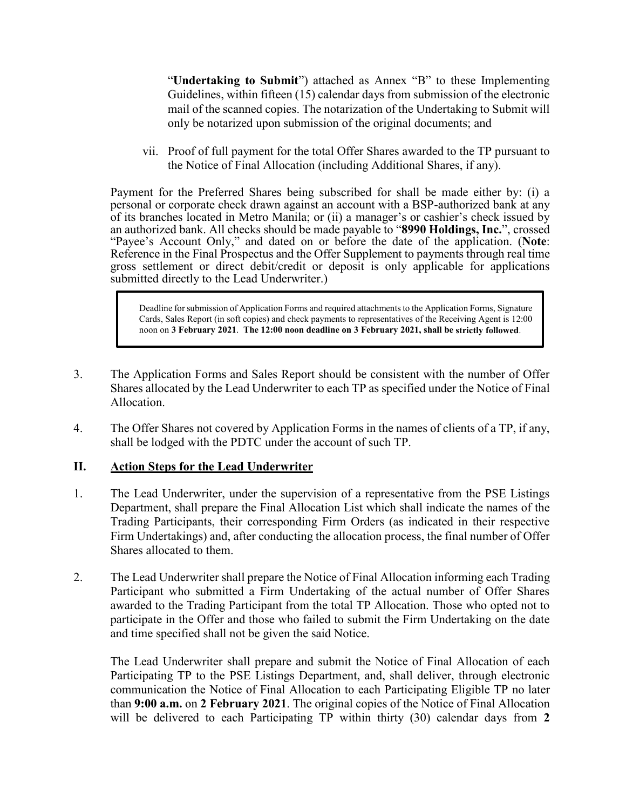"**Undertaking to Submit**") attached as Annex "B" to these Implementing Guidelines, within fifteen (15) calendar days from submission of the electronic mail of the scanned copies. The notarization of the Undertaking to Submit will only be notarized upon submission of the original documents; and

vii. Proof of full payment for the total Offer Shares awarded to the TP pursuant to the Notice of Final Allocation (including Additional Shares, if any).

Payment for the Preferred Shares being subscribed for shall be made either by: (i) a personal or corporate check drawn against an account with a BSP-authorized bank at any of its branches located in Metro Manila; or (ii) a manager's or cashier's check issued by an authorized bank. All checks should be made payable to "**8990 Holdings, Inc.**", crossed "Payee's Account Only," and dated on or before the date of the application. (**Note**: Reference in the Final Prospectus and the Offer Supplement to payments through real time gross settlement or direct debit/credit or deposit is only applicable for applications submitted directly to the Lead Underwriter.)

Deadline for submission of Application Forms and required attachments to the Application Forms, Signature Cards, Sales Report (in soft copies) and check payments to representatives of the Receiving Agent is 12:00 noon on **3 February 2021**. **The 12:00 noon deadline on 3 February 2021, shall be strictly followed**.

- 3. The Application Forms and Sales Report should be consistent with the number of Offer Shares allocated by the Lead Underwriter to each TP as specified under the Notice of Final Allocation.
- 4. The Offer Shares not covered by Application Forms in the names of clients of a TP, if any, shall be lodged with the PDTC under the account of such TP.

# **II. Action Steps for the Lead Underwriter**

- 1. The Lead Underwriter, under the supervision of a representative from the PSE Listings Department, shall prepare the Final Allocation List which shall indicate the names of the Trading Participants, their corresponding Firm Orders (as indicated in their respective Firm Undertakings) and, after conducting the allocation process, the final number of Offer Shares allocated to them.
- 2. The Lead Underwriter shall prepare the Notice of Final Allocation informing each Trading Participant who submitted a Firm Undertaking of the actual number of Offer Shares awarded to the Trading Participant from the total TP Allocation. Those who opted not to participate in the Offer and those who failed to submit the Firm Undertaking on the date and time specified shall not be given the said Notice.

The Lead Underwriter shall prepare and submit the Notice of Final Allocation of each Participating TP to the PSE Listings Department, and, shall deliver, through electronic communication the Notice of Final Allocation to each Participating Eligible TP no later than **9:00 a.m.** on **2 February 2021**. The original copies of the Notice of Final Allocation will be delivered to each Participating TP within thirty (30) calendar days from **2**